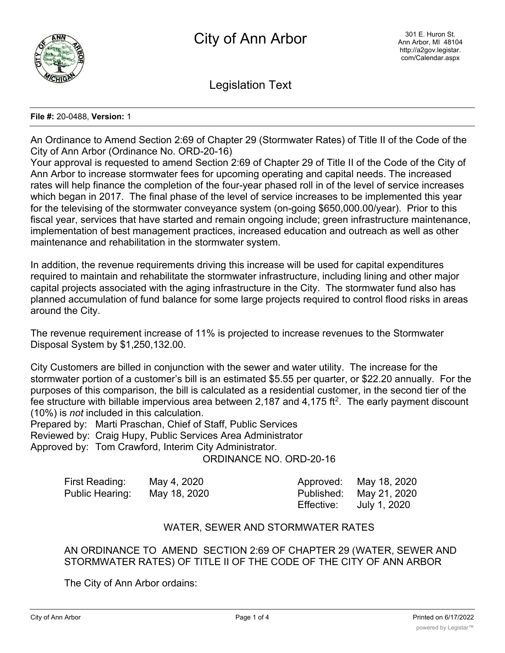

Legislation Text

## **File #:** 20-0488, **Version:** 1

An Ordinance to Amend Section 2:69 of Chapter 29 (Stormwater Rates) of Title II of the Code of the City of Ann Arbor (Ordinance No. ORD-20-16)

Your approval is requested to amend Section 2:69 of Chapter 29 of Title II of the Code of the City of Ann Arbor to increase stormwater fees for upcoming operating and capital needs. The increased rates will help finance the completion of the four-year phased roll in of the level of service increases which began in 2017. The final phase of the level of service increases to be implemented this year for the televising of the stormwater conveyance system (on-going \$650,000.00/year). Prior to this fiscal year, services that have started and remain ongoing include; green infrastructure maintenance, implementation of best management practices, increased education and outreach as well as other maintenance and rehabilitation in the stormwater system.

In addition, the revenue requirements driving this increase will be used for capital expenditures required to maintain and rehabilitate the stormwater infrastructure, including lining and other major capital projects associated with the aging infrastructure in the City. The stormwater fund also has planned accumulation of fund balance for some large projects required to control flood risks in areas around the City.

The revenue requirement increase of 11% is projected to increase revenues to the Stormwater Disposal System by \$1,250,132.00.

City Customers are billed in conjunction with the sewer and water utility. The increase for the stormwater portion of a customer's bill is an estimated \$5.55 per quarter, or \$22.20 annually. For the purposes of this comparison, the bill is calculated as a residential customer, in the second tier of the fee structure with billable impervious area between 2,187 and 4,175 ft<sup>2</sup>. The early payment discount (10%) is *not* included in this calculation.

Prepared by: Marti Praschan, Chief of Staff, Public Services Reviewed by: Craig Hupy, Public Services Area Administrator Approved by: Tom Crawford, Interim City Administrator.

ORDINANCE NO. ORD-20-16

| First Reading:  | May 4, 2020  |            | Approved: May 18, 2020  |
|-----------------|--------------|------------|-------------------------|
| Public Hearing: | May 18, 2020 |            | Published: May 21, 2020 |
|                 |              | Effective: | July 1, 2020            |

## WATER, SEWER AND STORMWATER RATES

AN ORDINANCE TO AMEND SECTION 2:69 OF CHAPTER 29 (WATER, SEWER AND STORMWATER RATES) OF TITLE II OF THE CODE OF THE CITY OF ANN ARBOR

The City of Ann Arbor ordains: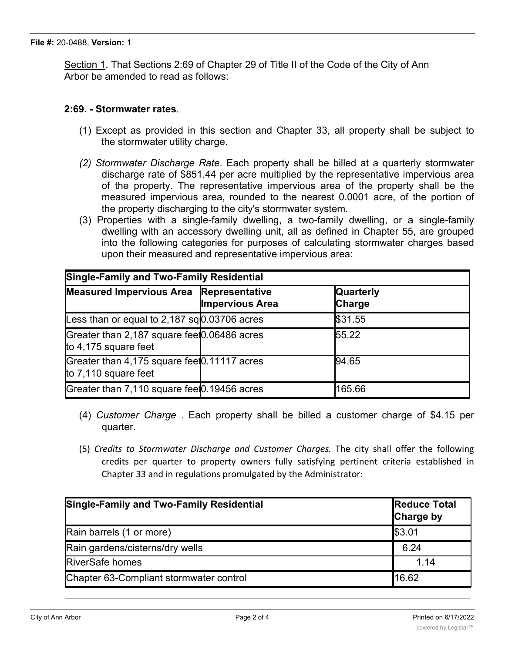Section 1. That Sections 2:69 of Chapter 29 of Title II of the Code of the City of Ann Arbor be amended to read as follows:

## **2:69. - Stormwater rates**.

- (1) Except as provided in this section and Chapter 33, all property shall be subject to the stormwater utility charge.
- *(2) Stormwater Discharge Rate*. Each property shall be billed at a quarterly stormwater discharge rate of \$851.44 per acre multiplied by the representative impervious area of the property. The representative impervious area of the property shall be the measured impervious area, rounded to the nearest 0.0001 acre, of the portion of the property discharging to the city's stormwater system.
- (3) Properties with a single-family dwelling, a two-family dwelling, or a single-family dwelling with an accessory dwelling unit, all as defined in Chapter 55, are grouped into the following categories for purposes of calculating stormwater charges based upon their measured and representative impervious area:

| <b>Single-Family and Two-Family Residential</b>                        |                        |                                   |  |  |  |
|------------------------------------------------------------------------|------------------------|-----------------------------------|--|--|--|
| Measured Impervious Area Representative                                | <b>Impervious Area</b> | <b>Quarterly</b><br><b>Charge</b> |  |  |  |
| Less than or equal to 2,187 sq $\vert 0.03706$ acres                   |                        | \$31.55                           |  |  |  |
| Greater than 2,187 square feet 0.06486 acres<br>to 4,175 square feet   |                        | 55.22                             |  |  |  |
| Greater than 4,175 square feet 0.11117 acres<br>to $7,110$ square feet |                        | 94.65                             |  |  |  |
| Greater than 7,110 square feet 0.19456 acres                           |                        | 165.66                            |  |  |  |

- (4) *Customer Charge* . Each property shall be billed a customer charge of \$4.15 per quarter.
- (5) *Credits to Stormwater Discharge and Customer Charges.* The city shall offer the following credits per quarter to property owners fully satisfying pertinent criteria established in Chapter 33 and in regulations promulgated by the Administrator:

| <b>Single-Family and Two-Family Residential</b> | <b>Reduce Total</b><br><b>Charge by</b> |
|-------------------------------------------------|-----------------------------------------|
| Rain barrels (1 or more)                        | \$3.01                                  |
| Rain gardens/cisterns/dry wells                 | 6.24                                    |
| <b>RiverSafe homes</b>                          | 1.14                                    |
| Chapter 63-Compliant stormwater control         | 16.62                                   |

**Other Properties Reduce**

**Reduce**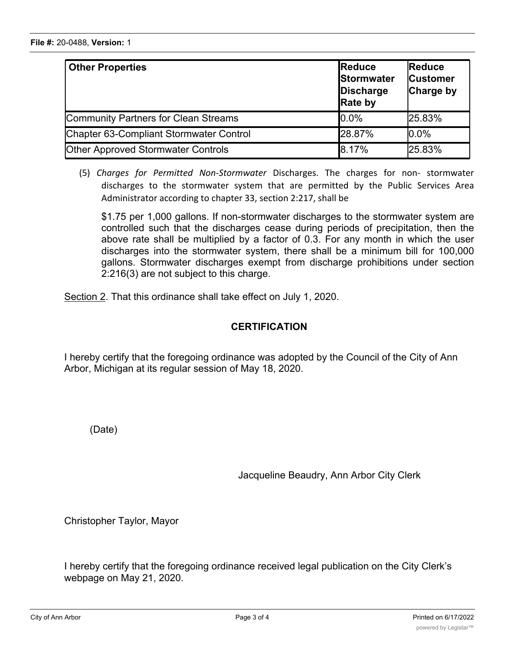| <b>Other Properties</b>                     | Reduce<br>Stormwater<br>Discharge<br><b>Rate by</b> | <b>Reduce</b><br><b>Customer</b><br>Charge by |
|---------------------------------------------|-----------------------------------------------------|-----------------------------------------------|
| <b>Community Partners for Clean Streams</b> | $0.0\%$                                             | 25.83%                                        |
| Chapter 63-Compliant Stormwater Control     | 28.87%                                              | 0.0%                                          |
| <b>Other Approved Stormwater Controls</b>   | 8.17%                                               | 25.83%                                        |

(5) *Charges for Permitted Non-Stormwater* Discharges. The charges for non- stormwater discharges to the stormwater system that are permitted by the Public Services Area Administrator according to chapter 33, section 2:217, shall be

\$1.75 per 1,000 gallons. If non-stormwater discharges to the stormwater system are controlled such that the discharges cease during periods of precipitation, then the above rate shall be multiplied by a factor of 0.3. For any month in which the user discharges into the stormwater system, there shall be a minimum bill for 100,000 gallons. Stormwater discharges exempt from discharge prohibitions under section 2:216(3) are not subject to this charge.

Section 2. That this ordinance shall take effect on July 1, 2020.

## **CERTIFICATION**

I hereby certify that the foregoing ordinance was adopted by the Council of the City of Ann Arbor, Michigan at its regular session of May 18, 2020.

(Date)

Jacqueline Beaudry, Ann Arbor City Clerk

Christopher Taylor, Mayor

I hereby certify that the foregoing ordinance received legal publication on the City Clerk's webpage on May 21, 2020.